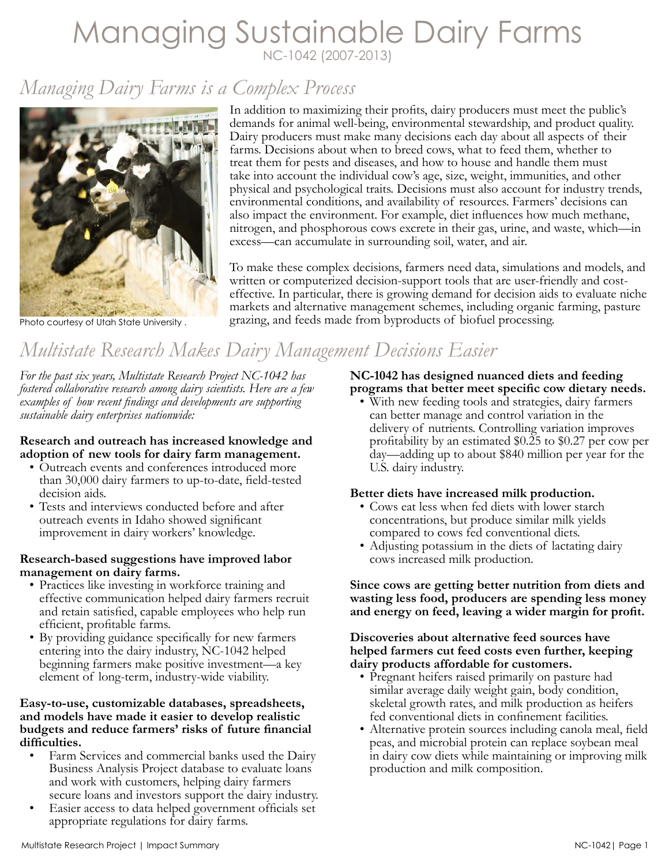# Managing Sustainable Dairy Farms NC-1042 (2007-2013)

# *Managing Dairy Farms is a Complex Process*



Photo courtesy of Utah State University .

In addition to maximizing their profits, dairy producers must meet the public's demands for animal well-being, environmental stewardship, and product quality. Dairy producers must make many decisions each day about all aspects of their farms. Decisions about when to breed cows, what to feed them, whether to treat them for pests and diseases, and how to house and handle them must take into account the individual cow's age, size, weight, immunities, and other physical and psychological traits. Decisions must also account for industry trends, environmental conditions, and availability of resources. Farmers' decisions can also impact the environment. For example, diet influences how much methane, nitrogen, and phosphorous cows excrete in their gas, urine, and waste, which—in excess—can accumulate in surrounding soil, water, and air.

To make these complex decisions, farmers need data, simulations and models, and written or computerized decision-support tools that are user-friendly and costeffective. In particular, there is growing demand for decision aids to evaluate niche markets and alternative management schemes, including organic farming, pasture grazing, and feeds made from byproducts of biofuel processing.

# *Multistate Research Makes Dairy Management Decisions Easier*

*For the past six years, Multistate Research Project NC-1042 has fostered collaborative research among dairy scientists. Here are a few examples of how recent findings and developments are supporting sustainable dairy enterprises nationwide:* 

## **Research and outreach has increased knowledge and adoption of new tools for dairy farm management.**

- Outreach events and conferences introduced more than 30,000 dairy farmers to up-to-date, field-tested decision aids.
- Tests and interviews conducted before and after outreach events in Idaho showed significant improvement in dairy workers' knowledge.

## **Research-based suggestions have improved labor management on dairy farms.**

- Practices like investing in workforce training and effective communication helped dairy farmers recruit and retain satisfied, capable employees who help run efficient, profitable farms.
- By providing guidance specifically for new farmers entering into the dairy industry, NC-1042 helped beginning farmers make positive investment—a key element of long-term, industry-wide viability.

## **Easy-to-use, customizable databases, spreadsheets, and models have made it easier to develop realistic budgets and reduce farmers' risks of future financial difficulties.**

- Farm Services and commercial banks used the Dairy Business Analysis Project database to evaluate loans and work with customers, helping dairy farmers secure loans and investors support the dairy industry.
- Easier access to data helped government officials set appropriate regulations for dairy farms.

# **NC-1042 has designed nuanced diets and feeding programs that better meet specific cow dietary needs.**

• With new feeding tools and strategies, dairy farmers can better manage and control variation in the delivery of nutrients. Controlling variation improves profitability by an estimated \$0.25 to \$0.27 per cow per day—adding up to about \$840 million per year for the U.S. dairy industry.

# **Better diets have increased milk production.**

- Cows eat less when fed diets with lower starch concentrations, but produce similar milk yields compared to cows fed conventional diets.
- Adjusting potassium in the diets of lactating dairy cows increased milk production.

**Since cows are getting better nutrition from diets and wasting less food, producers are spending less money and energy on feed, leaving a wider margin for profit.**

## **Discoveries about alternative feed sources have helped farmers cut feed costs even further, keeping dairy products affordable for customers.**

- Pregnant heifers raised primarily on pasture had similar average daily weight gain, body condition, skeletal growth rates, and milk production as heifers fed conventional diets in confinement facilities.
- Alternative protein sources including canola meal, field peas, and microbial protein can replace soybean meal in dairy cow diets while maintaining or improving milk production and milk composition.